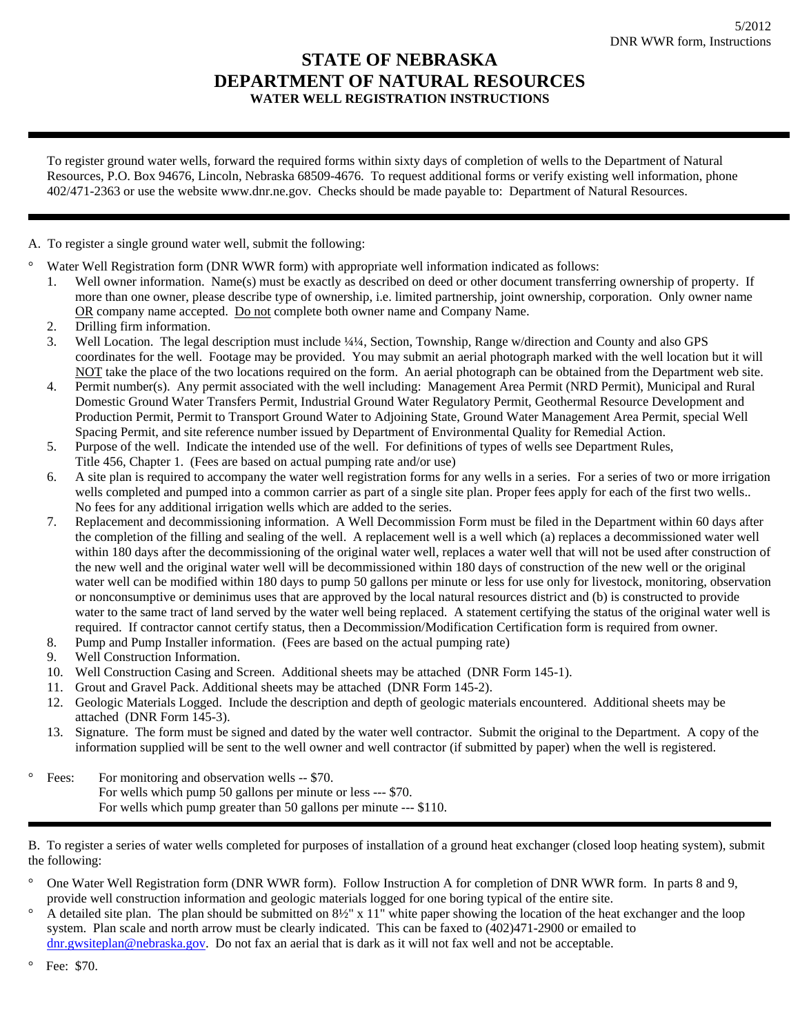## **STATE OF NEBRASKA DEPARTMENT OF NATURAL RESOURCES WATER WELL REGISTRATION INSTRUCTIONS**

To register ground water wells, forward the required forms within sixty days of completion of wells to the Department of Natural Resources, P.O. Box 94676, Lincoln, Nebraska 68509-4676. To request additional forms or verify existing well information, phone 402/471-2363 or use the website www.dnr.ne.gov. Checks should be made payable to: Department of Natural Resources.

A. To register a single ground water well, submit the following:

Water Well Registration form (DNR WWR form) with appropriate well information indicated as follows:

- 1. Well owner information. Name(s) must be exactly as described on deed or other document transferring ownership of property. If more than one owner, please describe type of ownership, i.e. limited partnership, joint ownership, corporation. Only owner name OR company name accepted. Do not complete both owner name and Company Name.
- 2. Drilling firm information.
- 3. Well Location. The legal description must include ¼¼, Section, Township, Range w/direction and County and also GPS coordinates for the well. Footage may be provided. You may submit an aerial photograph marked with the well location but it will NOT take the place of the two locations required on the form. An aerial photograph can be obtained from the Department web site.
- 4. Permit number(s). Any permit associated with the well including: Management Area Permit (NRD Permit), Municipal and Rural Domestic Ground Water Transfers Permit, Industrial Ground Water Regulatory Permit, Geothermal Resource Development and Production Permit, Permit to Transport Ground Water to Adjoining State, Ground Water Management Area Permit, special Well Spacing Permit, and site reference number issued by Department of Environmental Quality for Remedial Action.
- 5. Purpose of the well. Indicate the intended use of the well. For definitions of types of wells see Department Rules,
- Title 456, Chapter 1. (Fees are based on actual pumping rate and/or use)
- 6. A site plan is required to accompany the water well registration forms for any wells in a series. For a series of two or more irrigation wells completed and pumped into a common carrier as part of a single site plan. Proper fees apply for each of the first two wells.. No fees for any additional irrigation wells which are added to the series.
- 7. Replacement and decommissioning information. A Well Decommission Form must be filed in the Department within 60 days after the completion of the filling and sealing of the well. A replacement well is a well which (a) replaces a decommissioned water well within 180 days after the decommissioning of the original water well, replaces a water well that will not be used after construction of the new well and the original water well will be decommissioned within 180 days of construction of the new well or the original water well can be modified within 180 days to pump 50 gallons per minute or less for use only for livestock, monitoring, observation or nonconsumptive or deminimus uses that are approved by the local natural resources district and (b) is constructed to provide water to the same tract of land served by the water well being replaced. A statement certifying the status of the original water well is required. If contractor cannot certify status, then a Decommission/Modification Certification form is required from owner.
- 8. Pump and Pump Installer information. (Fees are based on the actual pumping rate)
- 9. Well Construction Information.
- 10. Well Construction Casing and Screen. Additional sheets may be attached (DNR Form 145-1).
- 11. Grout and Gravel Pack. Additional sheets may be attached (DNR Form 145-2).
- 12. Geologic Materials Logged. Include the description and depth of geologic materials encountered. Additional sheets may be attached (DNR Form 145-3).
- 13. Signature. The form must be signed and dated by the water well contractor. Submit the original to the Department. A copy of the information supplied will be sent to the well owner and well contractor (if submitted by paper) when the well is registered.

° Fees: For monitoring and observation wells -- \$70. For wells which pump 50 gallons per minute or less --- \$70. For wells which pump greater than 50 gallons per minute --- \$110.

B. To register a series of water wells completed for purposes of installation of a ground heat exchanger (closed loop heating system), submit the following:

- ° One Water Well Registration form (DNR WWR form). Follow Instruction A for completion of DNR WWR form. In parts 8 and 9, provide well construction information and geologic materials logged for one boring typical of the entire site.
- ° A detailed site plan. The plan should be submitted on 8½" x 11" white paper showing the location of the heat exchanger and the loop system. Plan scale and north arrow must be clearly indicated. This can be faxed to (402)471-2900 or emailed to [dnr.gwsiteplan@nebraska.gov.](mailto:dnr.gwsiteplan@nebraska.gov) Do not fax an aerial that is dark as it will not fax well and not be acceptable.

<sup>°</sup> Fee: \$70.